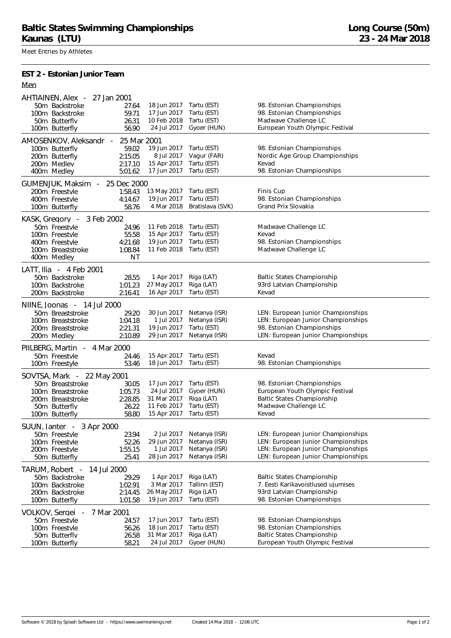Meet Entries by Athletes

**EST 2 - Estonian Junior Team**

|--|--|

| 18 Jun 2017<br>Tartu (EST)<br>98. Estonian Championships<br>50m Backstroke<br>27.64<br>17 Jun 2017<br>Tartu (EST)<br>98. Estonian Championships<br>59.71<br>100m Backstroke<br>10 Feb 2018<br>Tartu (EST)<br>Madwave Challenge LC<br>26.31<br>50m Butterfly<br>24 Jul 2017<br>Gyoer (HUN)<br>European Youth Olympic Festival<br>56.90<br>100m Butterfly<br>AMOSENKOV, Aleksandr - 25 Mar 2001<br>19 Jun 2017<br>98. Estonian Championships<br>Tartu (EST)<br>100m Butterflv<br>59.02<br>Nordic Age Group Championships<br>8 Jul 2017<br>Vagur (FAR)<br>2:15.05<br>200m Butterfly<br>200m Medlev<br>15 Apr 2017<br>Tartu (EST)<br>2:17.10<br>Kevad<br>98. Estonian Championships<br>17 Jun 2017<br>Tartu (EST)<br>400m Medley<br>5:01.62<br>GUMENJUK, Maksim<br>25 Dec 2000<br>$\sim$<br>Tartu (EST)<br>Finis Cup<br>1:58.43<br>13 May 2017<br>200m Freestyle<br>Tartu (EST)<br>98. Estonian Championships<br>4:14.67<br>19 Jun 2017<br>400m Freestyle<br>Grand Prix Slovakia<br>4 Mar 2018<br>Bratislava (SVK)<br>58.76<br>100m Butterfly<br>KASK, Gregory -<br>3 Feb 2002<br>11 Feb 2018<br>50m Freestyle<br>Tartu (EST)<br>Madwave Challenge LC<br>24.96<br>15 Apr 2017<br>Tartu (EST)<br>Kevad<br>55.58<br>100m Freestyle<br>Tartu (EST)<br>98. Estonian Championships<br>19 Jun 2017<br>400m Freestyle<br>4:21.68<br>11 Feb 2018<br>Madwave Challenge LC<br>1:08.84<br>Tartu (EST)<br>100m Breaststroke<br>400m Medley<br>ΝT<br>LATT, Ilia - 4 Feb 2001<br>Riga (LAT)<br><b>Baltic States Championship</b><br>50m Backstroke<br>1 Apr 2017<br>28.55<br>27 May 2017<br>Riga (LAT)<br>93rd Latvian Championship<br>1:01.23<br>100m Backstroke<br>16 Apr 2017<br>Tartu (EST)<br>2:16.41<br>Kevad<br>200m Backstroke<br>NIINE, Joonas - 14 Jul 2000<br>30 Jun 2017<br>Netanya (ISR)<br>LEN: European Junior Championships<br>50m Breaststroke<br>29.20<br>LEN: European Junior Championships<br>1 Jul 2017<br>Netanya (ISR)<br>1:04.18<br>100m Breaststroke<br>98. Estonian Championships<br>19 Jun 2017<br>Tartu (EST)<br>200m Breaststroke<br>2:21.31<br>2:10.89<br>29 Jun 2017<br>Netanya (ISR)<br>LEN: European Junior Championships<br>200m Medley<br>PIILBERG, Martin<br>- 4 Mar 2000<br>15 Apr 2017<br>Tartu (EST)<br>Kevad<br>50m Freestyle<br>24.46<br>18 Jun 2017<br>Tartu (EST)<br>98. Estonian Championships<br>53.46<br>100m Freestyle<br>SOVTSA, Mark - 22 May 2001<br>98. Estonian Championships<br>17 Jun 2017<br>Tartu (EST)<br>50m Breaststroke<br>30.05<br>European Youth Olympic Festival<br>24 Jul 2017<br>Gyoer (HUN)<br>1:05.73<br>100m Breaststroke<br>Riga (LAT)<br><b>Baltic States Championship</b><br>2:28.85<br>31 Mar 2017<br>200m Breaststroke<br>11 Feb 2017<br>Tartu (EST)<br>Madwave Challenge LC<br>50m Butterfly<br>26.22<br>15 Apr 2017<br>Tartu (EST)<br>Kevad<br>58.80<br>100m Butterfly<br>SUUN, Janter - 3 Apr 2000<br>Netanya (ISR)<br>23.94<br>2 Jul 2017<br>LEN: European Junior Championships<br>50m Freestvle<br>29 Jun 2017<br>Netanya (ISR)<br>LEN: European Junior Championships<br>52.26<br>100m Freestyle<br>1 Jul 2017<br>Netanya (ISR)<br>LEN: European Junior Championships<br>1:55.15<br>200m Freestvle<br>28 Jun 2017<br>Netanya (ISR)<br>LEN: European Junior Championships<br>50m Butterfly<br>25.41<br>TARUM, Robert -<br>14 Jul 2000<br><b>Baltic States Championship</b><br>50m Backstroke<br>1 Apr 2017<br>Riga (LAT)<br>29.29<br>3 Mar 2017<br>7. Eesti Karikavoistlused ujumises<br>Tallinn (EST)<br>100m Backstroke<br>1:02.91<br>93rd Latvian Championship<br>26 May 2017<br>Riga (LAT)<br>200m Backstroke<br>2:14.45<br>98. Estonian Championships<br>19 Jun 2017<br>Tartu (EST)<br>1:01.58<br>100m Butterfly<br>VOLKOV, Sergei -<br>7 Mar 2001<br>17 Jun 2017<br>Tartu (EST)<br>98. Estonian Championships<br>50m Freestvle<br>24.57<br>18 Jun 2017<br>Tartu (EST)<br>98. Estonian Championships<br>100m Freestvle<br>56.26<br>31 Mar 2017<br>Riga (LAT)<br>Baltic States Championship<br>50m Butterflv<br>26.58<br>24 Jul 2017<br>Gyoer (HUN)<br>European Youth Olympic Festival<br>58.21<br>100m Butterfly | AHTIAINEN, Alex -<br>27 Jan 2001 |  |  |  |  |  |  |
|----------------------------------------------------------------------------------------------------------------------------------------------------------------------------------------------------------------------------------------------------------------------------------------------------------------------------------------------------------------------------------------------------------------------------------------------------------------------------------------------------------------------------------------------------------------------------------------------------------------------------------------------------------------------------------------------------------------------------------------------------------------------------------------------------------------------------------------------------------------------------------------------------------------------------------------------------------------------------------------------------------------------------------------------------------------------------------------------------------------------------------------------------------------------------------------------------------------------------------------------------------------------------------------------------------------------------------------------------------------------------------------------------------------------------------------------------------------------------------------------------------------------------------------------------------------------------------------------------------------------------------------------------------------------------------------------------------------------------------------------------------------------------------------------------------------------------------------------------------------------------------------------------------------------------------------------------------------------------------------------------------------------------------------------------------------------------------------------------------------------------------------------------------------------------------------------------------------------------------------------------------------------------------------------------------------------------------------------------------------------------------------------------------------------------------------------------------------------------------------------------------------------------------------------------------------------------------------------------------------------------------------------------------------------------------------------------------------------------------------------------------------------------------------------------------------------------------------------------------------------------------------------------------------------------------------------------------------------------------------------------------------------------------------------------------------------------------------------------------------------------------------------------------------------------------------------------------------------------------------------------------------------------------------------------------------------------------------------------------------------------------------------------------------------------------------------------------------------------------------------------------------------------------------------------------------------------------------------------------------------------------------------------------------------------------------------------------------------------------------------------------------------------------------------------------------------------------------------------------------------------------------------------------------------------------------------------------------------------------------------------------------------------------------------------------------------------------|----------------------------------|--|--|--|--|--|--|
|                                                                                                                                                                                                                                                                                                                                                                                                                                                                                                                                                                                                                                                                                                                                                                                                                                                                                                                                                                                                                                                                                                                                                                                                                                                                                                                                                                                                                                                                                                                                                                                                                                                                                                                                                                                                                                                                                                                                                                                                                                                                                                                                                                                                                                                                                                                                                                                                                                                                                                                                                                                                                                                                                                                                                                                                                                                                                                                                                                                                                                                                                                                                                                                                                                                                                                                                                                                                                                                                                                                                                                                                                                                                                                                                                                                                                                                                                                                                                                                                                                                                                  |                                  |  |  |  |  |  |  |
|                                                                                                                                                                                                                                                                                                                                                                                                                                                                                                                                                                                                                                                                                                                                                                                                                                                                                                                                                                                                                                                                                                                                                                                                                                                                                                                                                                                                                                                                                                                                                                                                                                                                                                                                                                                                                                                                                                                                                                                                                                                                                                                                                                                                                                                                                                                                                                                                                                                                                                                                                                                                                                                                                                                                                                                                                                                                                                                                                                                                                                                                                                                                                                                                                                                                                                                                                                                                                                                                                                                                                                                                                                                                                                                                                                                                                                                                                                                                                                                                                                                                                  |                                  |  |  |  |  |  |  |
|                                                                                                                                                                                                                                                                                                                                                                                                                                                                                                                                                                                                                                                                                                                                                                                                                                                                                                                                                                                                                                                                                                                                                                                                                                                                                                                                                                                                                                                                                                                                                                                                                                                                                                                                                                                                                                                                                                                                                                                                                                                                                                                                                                                                                                                                                                                                                                                                                                                                                                                                                                                                                                                                                                                                                                                                                                                                                                                                                                                                                                                                                                                                                                                                                                                                                                                                                                                                                                                                                                                                                                                                                                                                                                                                                                                                                                                                                                                                                                                                                                                                                  |                                  |  |  |  |  |  |  |
|                                                                                                                                                                                                                                                                                                                                                                                                                                                                                                                                                                                                                                                                                                                                                                                                                                                                                                                                                                                                                                                                                                                                                                                                                                                                                                                                                                                                                                                                                                                                                                                                                                                                                                                                                                                                                                                                                                                                                                                                                                                                                                                                                                                                                                                                                                                                                                                                                                                                                                                                                                                                                                                                                                                                                                                                                                                                                                                                                                                                                                                                                                                                                                                                                                                                                                                                                                                                                                                                                                                                                                                                                                                                                                                                                                                                                                                                                                                                                                                                                                                                                  |                                  |  |  |  |  |  |  |
|                                                                                                                                                                                                                                                                                                                                                                                                                                                                                                                                                                                                                                                                                                                                                                                                                                                                                                                                                                                                                                                                                                                                                                                                                                                                                                                                                                                                                                                                                                                                                                                                                                                                                                                                                                                                                                                                                                                                                                                                                                                                                                                                                                                                                                                                                                                                                                                                                                                                                                                                                                                                                                                                                                                                                                                                                                                                                                                                                                                                                                                                                                                                                                                                                                                                                                                                                                                                                                                                                                                                                                                                                                                                                                                                                                                                                                                                                                                                                                                                                                                                                  |                                  |  |  |  |  |  |  |
|                                                                                                                                                                                                                                                                                                                                                                                                                                                                                                                                                                                                                                                                                                                                                                                                                                                                                                                                                                                                                                                                                                                                                                                                                                                                                                                                                                                                                                                                                                                                                                                                                                                                                                                                                                                                                                                                                                                                                                                                                                                                                                                                                                                                                                                                                                                                                                                                                                                                                                                                                                                                                                                                                                                                                                                                                                                                                                                                                                                                                                                                                                                                                                                                                                                                                                                                                                                                                                                                                                                                                                                                                                                                                                                                                                                                                                                                                                                                                                                                                                                                                  |                                  |  |  |  |  |  |  |
|                                                                                                                                                                                                                                                                                                                                                                                                                                                                                                                                                                                                                                                                                                                                                                                                                                                                                                                                                                                                                                                                                                                                                                                                                                                                                                                                                                                                                                                                                                                                                                                                                                                                                                                                                                                                                                                                                                                                                                                                                                                                                                                                                                                                                                                                                                                                                                                                                                                                                                                                                                                                                                                                                                                                                                                                                                                                                                                                                                                                                                                                                                                                                                                                                                                                                                                                                                                                                                                                                                                                                                                                                                                                                                                                                                                                                                                                                                                                                                                                                                                                                  |                                  |  |  |  |  |  |  |
|                                                                                                                                                                                                                                                                                                                                                                                                                                                                                                                                                                                                                                                                                                                                                                                                                                                                                                                                                                                                                                                                                                                                                                                                                                                                                                                                                                                                                                                                                                                                                                                                                                                                                                                                                                                                                                                                                                                                                                                                                                                                                                                                                                                                                                                                                                                                                                                                                                                                                                                                                                                                                                                                                                                                                                                                                                                                                                                                                                                                                                                                                                                                                                                                                                                                                                                                                                                                                                                                                                                                                                                                                                                                                                                                                                                                                                                                                                                                                                                                                                                                                  |                                  |  |  |  |  |  |  |
|                                                                                                                                                                                                                                                                                                                                                                                                                                                                                                                                                                                                                                                                                                                                                                                                                                                                                                                                                                                                                                                                                                                                                                                                                                                                                                                                                                                                                                                                                                                                                                                                                                                                                                                                                                                                                                                                                                                                                                                                                                                                                                                                                                                                                                                                                                                                                                                                                                                                                                                                                                                                                                                                                                                                                                                                                                                                                                                                                                                                                                                                                                                                                                                                                                                                                                                                                                                                                                                                                                                                                                                                                                                                                                                                                                                                                                                                                                                                                                                                                                                                                  |                                  |  |  |  |  |  |  |
|                                                                                                                                                                                                                                                                                                                                                                                                                                                                                                                                                                                                                                                                                                                                                                                                                                                                                                                                                                                                                                                                                                                                                                                                                                                                                                                                                                                                                                                                                                                                                                                                                                                                                                                                                                                                                                                                                                                                                                                                                                                                                                                                                                                                                                                                                                                                                                                                                                                                                                                                                                                                                                                                                                                                                                                                                                                                                                                                                                                                                                                                                                                                                                                                                                                                                                                                                                                                                                                                                                                                                                                                                                                                                                                                                                                                                                                                                                                                                                                                                                                                                  |                                  |  |  |  |  |  |  |
|                                                                                                                                                                                                                                                                                                                                                                                                                                                                                                                                                                                                                                                                                                                                                                                                                                                                                                                                                                                                                                                                                                                                                                                                                                                                                                                                                                                                                                                                                                                                                                                                                                                                                                                                                                                                                                                                                                                                                                                                                                                                                                                                                                                                                                                                                                                                                                                                                                                                                                                                                                                                                                                                                                                                                                                                                                                                                                                                                                                                                                                                                                                                                                                                                                                                                                                                                                                                                                                                                                                                                                                                                                                                                                                                                                                                                                                                                                                                                                                                                                                                                  |                                  |  |  |  |  |  |  |
|                                                                                                                                                                                                                                                                                                                                                                                                                                                                                                                                                                                                                                                                                                                                                                                                                                                                                                                                                                                                                                                                                                                                                                                                                                                                                                                                                                                                                                                                                                                                                                                                                                                                                                                                                                                                                                                                                                                                                                                                                                                                                                                                                                                                                                                                                                                                                                                                                                                                                                                                                                                                                                                                                                                                                                                                                                                                                                                                                                                                                                                                                                                                                                                                                                                                                                                                                                                                                                                                                                                                                                                                                                                                                                                                                                                                                                                                                                                                                                                                                                                                                  |                                  |  |  |  |  |  |  |
|                                                                                                                                                                                                                                                                                                                                                                                                                                                                                                                                                                                                                                                                                                                                                                                                                                                                                                                                                                                                                                                                                                                                                                                                                                                                                                                                                                                                                                                                                                                                                                                                                                                                                                                                                                                                                                                                                                                                                                                                                                                                                                                                                                                                                                                                                                                                                                                                                                                                                                                                                                                                                                                                                                                                                                                                                                                                                                                                                                                                                                                                                                                                                                                                                                                                                                                                                                                                                                                                                                                                                                                                                                                                                                                                                                                                                                                                                                                                                                                                                                                                                  |                                  |  |  |  |  |  |  |
|                                                                                                                                                                                                                                                                                                                                                                                                                                                                                                                                                                                                                                                                                                                                                                                                                                                                                                                                                                                                                                                                                                                                                                                                                                                                                                                                                                                                                                                                                                                                                                                                                                                                                                                                                                                                                                                                                                                                                                                                                                                                                                                                                                                                                                                                                                                                                                                                                                                                                                                                                                                                                                                                                                                                                                                                                                                                                                                                                                                                                                                                                                                                                                                                                                                                                                                                                                                                                                                                                                                                                                                                                                                                                                                                                                                                                                                                                                                                                                                                                                                                                  |                                  |  |  |  |  |  |  |
|                                                                                                                                                                                                                                                                                                                                                                                                                                                                                                                                                                                                                                                                                                                                                                                                                                                                                                                                                                                                                                                                                                                                                                                                                                                                                                                                                                                                                                                                                                                                                                                                                                                                                                                                                                                                                                                                                                                                                                                                                                                                                                                                                                                                                                                                                                                                                                                                                                                                                                                                                                                                                                                                                                                                                                                                                                                                                                                                                                                                                                                                                                                                                                                                                                                                                                                                                                                                                                                                                                                                                                                                                                                                                                                                                                                                                                                                                                                                                                                                                                                                                  |                                  |  |  |  |  |  |  |
|                                                                                                                                                                                                                                                                                                                                                                                                                                                                                                                                                                                                                                                                                                                                                                                                                                                                                                                                                                                                                                                                                                                                                                                                                                                                                                                                                                                                                                                                                                                                                                                                                                                                                                                                                                                                                                                                                                                                                                                                                                                                                                                                                                                                                                                                                                                                                                                                                                                                                                                                                                                                                                                                                                                                                                                                                                                                                                                                                                                                                                                                                                                                                                                                                                                                                                                                                                                                                                                                                                                                                                                                                                                                                                                                                                                                                                                                                                                                                                                                                                                                                  |                                  |  |  |  |  |  |  |
|                                                                                                                                                                                                                                                                                                                                                                                                                                                                                                                                                                                                                                                                                                                                                                                                                                                                                                                                                                                                                                                                                                                                                                                                                                                                                                                                                                                                                                                                                                                                                                                                                                                                                                                                                                                                                                                                                                                                                                                                                                                                                                                                                                                                                                                                                                                                                                                                                                                                                                                                                                                                                                                                                                                                                                                                                                                                                                                                                                                                                                                                                                                                                                                                                                                                                                                                                                                                                                                                                                                                                                                                                                                                                                                                                                                                                                                                                                                                                                                                                                                                                  |                                  |  |  |  |  |  |  |
|                                                                                                                                                                                                                                                                                                                                                                                                                                                                                                                                                                                                                                                                                                                                                                                                                                                                                                                                                                                                                                                                                                                                                                                                                                                                                                                                                                                                                                                                                                                                                                                                                                                                                                                                                                                                                                                                                                                                                                                                                                                                                                                                                                                                                                                                                                                                                                                                                                                                                                                                                                                                                                                                                                                                                                                                                                                                                                                                                                                                                                                                                                                                                                                                                                                                                                                                                                                                                                                                                                                                                                                                                                                                                                                                                                                                                                                                                                                                                                                                                                                                                  |                                  |  |  |  |  |  |  |
|                                                                                                                                                                                                                                                                                                                                                                                                                                                                                                                                                                                                                                                                                                                                                                                                                                                                                                                                                                                                                                                                                                                                                                                                                                                                                                                                                                                                                                                                                                                                                                                                                                                                                                                                                                                                                                                                                                                                                                                                                                                                                                                                                                                                                                                                                                                                                                                                                                                                                                                                                                                                                                                                                                                                                                                                                                                                                                                                                                                                                                                                                                                                                                                                                                                                                                                                                                                                                                                                                                                                                                                                                                                                                                                                                                                                                                                                                                                                                                                                                                                                                  |                                  |  |  |  |  |  |  |
|                                                                                                                                                                                                                                                                                                                                                                                                                                                                                                                                                                                                                                                                                                                                                                                                                                                                                                                                                                                                                                                                                                                                                                                                                                                                                                                                                                                                                                                                                                                                                                                                                                                                                                                                                                                                                                                                                                                                                                                                                                                                                                                                                                                                                                                                                                                                                                                                                                                                                                                                                                                                                                                                                                                                                                                                                                                                                                                                                                                                                                                                                                                                                                                                                                                                                                                                                                                                                                                                                                                                                                                                                                                                                                                                                                                                                                                                                                                                                                                                                                                                                  |                                  |  |  |  |  |  |  |
|                                                                                                                                                                                                                                                                                                                                                                                                                                                                                                                                                                                                                                                                                                                                                                                                                                                                                                                                                                                                                                                                                                                                                                                                                                                                                                                                                                                                                                                                                                                                                                                                                                                                                                                                                                                                                                                                                                                                                                                                                                                                                                                                                                                                                                                                                                                                                                                                                                                                                                                                                                                                                                                                                                                                                                                                                                                                                                                                                                                                                                                                                                                                                                                                                                                                                                                                                                                                                                                                                                                                                                                                                                                                                                                                                                                                                                                                                                                                                                                                                                                                                  |                                  |  |  |  |  |  |  |
|                                                                                                                                                                                                                                                                                                                                                                                                                                                                                                                                                                                                                                                                                                                                                                                                                                                                                                                                                                                                                                                                                                                                                                                                                                                                                                                                                                                                                                                                                                                                                                                                                                                                                                                                                                                                                                                                                                                                                                                                                                                                                                                                                                                                                                                                                                                                                                                                                                                                                                                                                                                                                                                                                                                                                                                                                                                                                                                                                                                                                                                                                                                                                                                                                                                                                                                                                                                                                                                                                                                                                                                                                                                                                                                                                                                                                                                                                                                                                                                                                                                                                  |                                  |  |  |  |  |  |  |
|                                                                                                                                                                                                                                                                                                                                                                                                                                                                                                                                                                                                                                                                                                                                                                                                                                                                                                                                                                                                                                                                                                                                                                                                                                                                                                                                                                                                                                                                                                                                                                                                                                                                                                                                                                                                                                                                                                                                                                                                                                                                                                                                                                                                                                                                                                                                                                                                                                                                                                                                                                                                                                                                                                                                                                                                                                                                                                                                                                                                                                                                                                                                                                                                                                                                                                                                                                                                                                                                                                                                                                                                                                                                                                                                                                                                                                                                                                                                                                                                                                                                                  |                                  |  |  |  |  |  |  |
|                                                                                                                                                                                                                                                                                                                                                                                                                                                                                                                                                                                                                                                                                                                                                                                                                                                                                                                                                                                                                                                                                                                                                                                                                                                                                                                                                                                                                                                                                                                                                                                                                                                                                                                                                                                                                                                                                                                                                                                                                                                                                                                                                                                                                                                                                                                                                                                                                                                                                                                                                                                                                                                                                                                                                                                                                                                                                                                                                                                                                                                                                                                                                                                                                                                                                                                                                                                                                                                                                                                                                                                                                                                                                                                                                                                                                                                                                                                                                                                                                                                                                  |                                  |  |  |  |  |  |  |
|                                                                                                                                                                                                                                                                                                                                                                                                                                                                                                                                                                                                                                                                                                                                                                                                                                                                                                                                                                                                                                                                                                                                                                                                                                                                                                                                                                                                                                                                                                                                                                                                                                                                                                                                                                                                                                                                                                                                                                                                                                                                                                                                                                                                                                                                                                                                                                                                                                                                                                                                                                                                                                                                                                                                                                                                                                                                                                                                                                                                                                                                                                                                                                                                                                                                                                                                                                                                                                                                                                                                                                                                                                                                                                                                                                                                                                                                                                                                                                                                                                                                                  |                                  |  |  |  |  |  |  |
|                                                                                                                                                                                                                                                                                                                                                                                                                                                                                                                                                                                                                                                                                                                                                                                                                                                                                                                                                                                                                                                                                                                                                                                                                                                                                                                                                                                                                                                                                                                                                                                                                                                                                                                                                                                                                                                                                                                                                                                                                                                                                                                                                                                                                                                                                                                                                                                                                                                                                                                                                                                                                                                                                                                                                                                                                                                                                                                                                                                                                                                                                                                                                                                                                                                                                                                                                                                                                                                                                                                                                                                                                                                                                                                                                                                                                                                                                                                                                                                                                                                                                  |                                  |  |  |  |  |  |  |
|                                                                                                                                                                                                                                                                                                                                                                                                                                                                                                                                                                                                                                                                                                                                                                                                                                                                                                                                                                                                                                                                                                                                                                                                                                                                                                                                                                                                                                                                                                                                                                                                                                                                                                                                                                                                                                                                                                                                                                                                                                                                                                                                                                                                                                                                                                                                                                                                                                                                                                                                                                                                                                                                                                                                                                                                                                                                                                                                                                                                                                                                                                                                                                                                                                                                                                                                                                                                                                                                                                                                                                                                                                                                                                                                                                                                                                                                                                                                                                                                                                                                                  |                                  |  |  |  |  |  |  |
|                                                                                                                                                                                                                                                                                                                                                                                                                                                                                                                                                                                                                                                                                                                                                                                                                                                                                                                                                                                                                                                                                                                                                                                                                                                                                                                                                                                                                                                                                                                                                                                                                                                                                                                                                                                                                                                                                                                                                                                                                                                                                                                                                                                                                                                                                                                                                                                                                                                                                                                                                                                                                                                                                                                                                                                                                                                                                                                                                                                                                                                                                                                                                                                                                                                                                                                                                                                                                                                                                                                                                                                                                                                                                                                                                                                                                                                                                                                                                                                                                                                                                  |                                  |  |  |  |  |  |  |
|                                                                                                                                                                                                                                                                                                                                                                                                                                                                                                                                                                                                                                                                                                                                                                                                                                                                                                                                                                                                                                                                                                                                                                                                                                                                                                                                                                                                                                                                                                                                                                                                                                                                                                                                                                                                                                                                                                                                                                                                                                                                                                                                                                                                                                                                                                                                                                                                                                                                                                                                                                                                                                                                                                                                                                                                                                                                                                                                                                                                                                                                                                                                                                                                                                                                                                                                                                                                                                                                                                                                                                                                                                                                                                                                                                                                                                                                                                                                                                                                                                                                                  |                                  |  |  |  |  |  |  |
|                                                                                                                                                                                                                                                                                                                                                                                                                                                                                                                                                                                                                                                                                                                                                                                                                                                                                                                                                                                                                                                                                                                                                                                                                                                                                                                                                                                                                                                                                                                                                                                                                                                                                                                                                                                                                                                                                                                                                                                                                                                                                                                                                                                                                                                                                                                                                                                                                                                                                                                                                                                                                                                                                                                                                                                                                                                                                                                                                                                                                                                                                                                                                                                                                                                                                                                                                                                                                                                                                                                                                                                                                                                                                                                                                                                                                                                                                                                                                                                                                                                                                  |                                  |  |  |  |  |  |  |
|                                                                                                                                                                                                                                                                                                                                                                                                                                                                                                                                                                                                                                                                                                                                                                                                                                                                                                                                                                                                                                                                                                                                                                                                                                                                                                                                                                                                                                                                                                                                                                                                                                                                                                                                                                                                                                                                                                                                                                                                                                                                                                                                                                                                                                                                                                                                                                                                                                                                                                                                                                                                                                                                                                                                                                                                                                                                                                                                                                                                                                                                                                                                                                                                                                                                                                                                                                                                                                                                                                                                                                                                                                                                                                                                                                                                                                                                                                                                                                                                                                                                                  |                                  |  |  |  |  |  |  |
|                                                                                                                                                                                                                                                                                                                                                                                                                                                                                                                                                                                                                                                                                                                                                                                                                                                                                                                                                                                                                                                                                                                                                                                                                                                                                                                                                                                                                                                                                                                                                                                                                                                                                                                                                                                                                                                                                                                                                                                                                                                                                                                                                                                                                                                                                                                                                                                                                                                                                                                                                                                                                                                                                                                                                                                                                                                                                                                                                                                                                                                                                                                                                                                                                                                                                                                                                                                                                                                                                                                                                                                                                                                                                                                                                                                                                                                                                                                                                                                                                                                                                  |                                  |  |  |  |  |  |  |
|                                                                                                                                                                                                                                                                                                                                                                                                                                                                                                                                                                                                                                                                                                                                                                                                                                                                                                                                                                                                                                                                                                                                                                                                                                                                                                                                                                                                                                                                                                                                                                                                                                                                                                                                                                                                                                                                                                                                                                                                                                                                                                                                                                                                                                                                                                                                                                                                                                                                                                                                                                                                                                                                                                                                                                                                                                                                                                                                                                                                                                                                                                                                                                                                                                                                                                                                                                                                                                                                                                                                                                                                                                                                                                                                                                                                                                                                                                                                                                                                                                                                                  |                                  |  |  |  |  |  |  |
|                                                                                                                                                                                                                                                                                                                                                                                                                                                                                                                                                                                                                                                                                                                                                                                                                                                                                                                                                                                                                                                                                                                                                                                                                                                                                                                                                                                                                                                                                                                                                                                                                                                                                                                                                                                                                                                                                                                                                                                                                                                                                                                                                                                                                                                                                                                                                                                                                                                                                                                                                                                                                                                                                                                                                                                                                                                                                                                                                                                                                                                                                                                                                                                                                                                                                                                                                                                                                                                                                                                                                                                                                                                                                                                                                                                                                                                                                                                                                                                                                                                                                  |                                  |  |  |  |  |  |  |
|                                                                                                                                                                                                                                                                                                                                                                                                                                                                                                                                                                                                                                                                                                                                                                                                                                                                                                                                                                                                                                                                                                                                                                                                                                                                                                                                                                                                                                                                                                                                                                                                                                                                                                                                                                                                                                                                                                                                                                                                                                                                                                                                                                                                                                                                                                                                                                                                                                                                                                                                                                                                                                                                                                                                                                                                                                                                                                                                                                                                                                                                                                                                                                                                                                                                                                                                                                                                                                                                                                                                                                                                                                                                                                                                                                                                                                                                                                                                                                                                                                                                                  |                                  |  |  |  |  |  |  |
|                                                                                                                                                                                                                                                                                                                                                                                                                                                                                                                                                                                                                                                                                                                                                                                                                                                                                                                                                                                                                                                                                                                                                                                                                                                                                                                                                                                                                                                                                                                                                                                                                                                                                                                                                                                                                                                                                                                                                                                                                                                                                                                                                                                                                                                                                                                                                                                                                                                                                                                                                                                                                                                                                                                                                                                                                                                                                                                                                                                                                                                                                                                                                                                                                                                                                                                                                                                                                                                                                                                                                                                                                                                                                                                                                                                                                                                                                                                                                                                                                                                                                  |                                  |  |  |  |  |  |  |
|                                                                                                                                                                                                                                                                                                                                                                                                                                                                                                                                                                                                                                                                                                                                                                                                                                                                                                                                                                                                                                                                                                                                                                                                                                                                                                                                                                                                                                                                                                                                                                                                                                                                                                                                                                                                                                                                                                                                                                                                                                                                                                                                                                                                                                                                                                                                                                                                                                                                                                                                                                                                                                                                                                                                                                                                                                                                                                                                                                                                                                                                                                                                                                                                                                                                                                                                                                                                                                                                                                                                                                                                                                                                                                                                                                                                                                                                                                                                                                                                                                                                                  |                                  |  |  |  |  |  |  |
|                                                                                                                                                                                                                                                                                                                                                                                                                                                                                                                                                                                                                                                                                                                                                                                                                                                                                                                                                                                                                                                                                                                                                                                                                                                                                                                                                                                                                                                                                                                                                                                                                                                                                                                                                                                                                                                                                                                                                                                                                                                                                                                                                                                                                                                                                                                                                                                                                                                                                                                                                                                                                                                                                                                                                                                                                                                                                                                                                                                                                                                                                                                                                                                                                                                                                                                                                                                                                                                                                                                                                                                                                                                                                                                                                                                                                                                                                                                                                                                                                                                                                  |                                  |  |  |  |  |  |  |
|                                                                                                                                                                                                                                                                                                                                                                                                                                                                                                                                                                                                                                                                                                                                                                                                                                                                                                                                                                                                                                                                                                                                                                                                                                                                                                                                                                                                                                                                                                                                                                                                                                                                                                                                                                                                                                                                                                                                                                                                                                                                                                                                                                                                                                                                                                                                                                                                                                                                                                                                                                                                                                                                                                                                                                                                                                                                                                                                                                                                                                                                                                                                                                                                                                                                                                                                                                                                                                                                                                                                                                                                                                                                                                                                                                                                                                                                                                                                                                                                                                                                                  |                                  |  |  |  |  |  |  |
|                                                                                                                                                                                                                                                                                                                                                                                                                                                                                                                                                                                                                                                                                                                                                                                                                                                                                                                                                                                                                                                                                                                                                                                                                                                                                                                                                                                                                                                                                                                                                                                                                                                                                                                                                                                                                                                                                                                                                                                                                                                                                                                                                                                                                                                                                                                                                                                                                                                                                                                                                                                                                                                                                                                                                                                                                                                                                                                                                                                                                                                                                                                                                                                                                                                                                                                                                                                                                                                                                                                                                                                                                                                                                                                                                                                                                                                                                                                                                                                                                                                                                  |                                  |  |  |  |  |  |  |
|                                                                                                                                                                                                                                                                                                                                                                                                                                                                                                                                                                                                                                                                                                                                                                                                                                                                                                                                                                                                                                                                                                                                                                                                                                                                                                                                                                                                                                                                                                                                                                                                                                                                                                                                                                                                                                                                                                                                                                                                                                                                                                                                                                                                                                                                                                                                                                                                                                                                                                                                                                                                                                                                                                                                                                                                                                                                                                                                                                                                                                                                                                                                                                                                                                                                                                                                                                                                                                                                                                                                                                                                                                                                                                                                                                                                                                                                                                                                                                                                                                                                                  |                                  |  |  |  |  |  |  |
|                                                                                                                                                                                                                                                                                                                                                                                                                                                                                                                                                                                                                                                                                                                                                                                                                                                                                                                                                                                                                                                                                                                                                                                                                                                                                                                                                                                                                                                                                                                                                                                                                                                                                                                                                                                                                                                                                                                                                                                                                                                                                                                                                                                                                                                                                                                                                                                                                                                                                                                                                                                                                                                                                                                                                                                                                                                                                                                                                                                                                                                                                                                                                                                                                                                                                                                                                                                                                                                                                                                                                                                                                                                                                                                                                                                                                                                                                                                                                                                                                                                                                  |                                  |  |  |  |  |  |  |
|                                                                                                                                                                                                                                                                                                                                                                                                                                                                                                                                                                                                                                                                                                                                                                                                                                                                                                                                                                                                                                                                                                                                                                                                                                                                                                                                                                                                                                                                                                                                                                                                                                                                                                                                                                                                                                                                                                                                                                                                                                                                                                                                                                                                                                                                                                                                                                                                                                                                                                                                                                                                                                                                                                                                                                                                                                                                                                                                                                                                                                                                                                                                                                                                                                                                                                                                                                                                                                                                                                                                                                                                                                                                                                                                                                                                                                                                                                                                                                                                                                                                                  |                                  |  |  |  |  |  |  |
|                                                                                                                                                                                                                                                                                                                                                                                                                                                                                                                                                                                                                                                                                                                                                                                                                                                                                                                                                                                                                                                                                                                                                                                                                                                                                                                                                                                                                                                                                                                                                                                                                                                                                                                                                                                                                                                                                                                                                                                                                                                                                                                                                                                                                                                                                                                                                                                                                                                                                                                                                                                                                                                                                                                                                                                                                                                                                                                                                                                                                                                                                                                                                                                                                                                                                                                                                                                                                                                                                                                                                                                                                                                                                                                                                                                                                                                                                                                                                                                                                                                                                  |                                  |  |  |  |  |  |  |
|                                                                                                                                                                                                                                                                                                                                                                                                                                                                                                                                                                                                                                                                                                                                                                                                                                                                                                                                                                                                                                                                                                                                                                                                                                                                                                                                                                                                                                                                                                                                                                                                                                                                                                                                                                                                                                                                                                                                                                                                                                                                                                                                                                                                                                                                                                                                                                                                                                                                                                                                                                                                                                                                                                                                                                                                                                                                                                                                                                                                                                                                                                                                                                                                                                                                                                                                                                                                                                                                                                                                                                                                                                                                                                                                                                                                                                                                                                                                                                                                                                                                                  |                                  |  |  |  |  |  |  |
|                                                                                                                                                                                                                                                                                                                                                                                                                                                                                                                                                                                                                                                                                                                                                                                                                                                                                                                                                                                                                                                                                                                                                                                                                                                                                                                                                                                                                                                                                                                                                                                                                                                                                                                                                                                                                                                                                                                                                                                                                                                                                                                                                                                                                                                                                                                                                                                                                                                                                                                                                                                                                                                                                                                                                                                                                                                                                                                                                                                                                                                                                                                                                                                                                                                                                                                                                                                                                                                                                                                                                                                                                                                                                                                                                                                                                                                                                                                                                                                                                                                                                  |                                  |  |  |  |  |  |  |
|                                                                                                                                                                                                                                                                                                                                                                                                                                                                                                                                                                                                                                                                                                                                                                                                                                                                                                                                                                                                                                                                                                                                                                                                                                                                                                                                                                                                                                                                                                                                                                                                                                                                                                                                                                                                                                                                                                                                                                                                                                                                                                                                                                                                                                                                                                                                                                                                                                                                                                                                                                                                                                                                                                                                                                                                                                                                                                                                                                                                                                                                                                                                                                                                                                                                                                                                                                                                                                                                                                                                                                                                                                                                                                                                                                                                                                                                                                                                                                                                                                                                                  |                                  |  |  |  |  |  |  |
|                                                                                                                                                                                                                                                                                                                                                                                                                                                                                                                                                                                                                                                                                                                                                                                                                                                                                                                                                                                                                                                                                                                                                                                                                                                                                                                                                                                                                                                                                                                                                                                                                                                                                                                                                                                                                                                                                                                                                                                                                                                                                                                                                                                                                                                                                                                                                                                                                                                                                                                                                                                                                                                                                                                                                                                                                                                                                                                                                                                                                                                                                                                                                                                                                                                                                                                                                                                                                                                                                                                                                                                                                                                                                                                                                                                                                                                                                                                                                                                                                                                                                  |                                  |  |  |  |  |  |  |
|                                                                                                                                                                                                                                                                                                                                                                                                                                                                                                                                                                                                                                                                                                                                                                                                                                                                                                                                                                                                                                                                                                                                                                                                                                                                                                                                                                                                                                                                                                                                                                                                                                                                                                                                                                                                                                                                                                                                                                                                                                                                                                                                                                                                                                                                                                                                                                                                                                                                                                                                                                                                                                                                                                                                                                                                                                                                                                                                                                                                                                                                                                                                                                                                                                                                                                                                                                                                                                                                                                                                                                                                                                                                                                                                                                                                                                                                                                                                                                                                                                                                                  |                                  |  |  |  |  |  |  |
|                                                                                                                                                                                                                                                                                                                                                                                                                                                                                                                                                                                                                                                                                                                                                                                                                                                                                                                                                                                                                                                                                                                                                                                                                                                                                                                                                                                                                                                                                                                                                                                                                                                                                                                                                                                                                                                                                                                                                                                                                                                                                                                                                                                                                                                                                                                                                                                                                                                                                                                                                                                                                                                                                                                                                                                                                                                                                                                                                                                                                                                                                                                                                                                                                                                                                                                                                                                                                                                                                                                                                                                                                                                                                                                                                                                                                                                                                                                                                                                                                                                                                  |                                  |  |  |  |  |  |  |